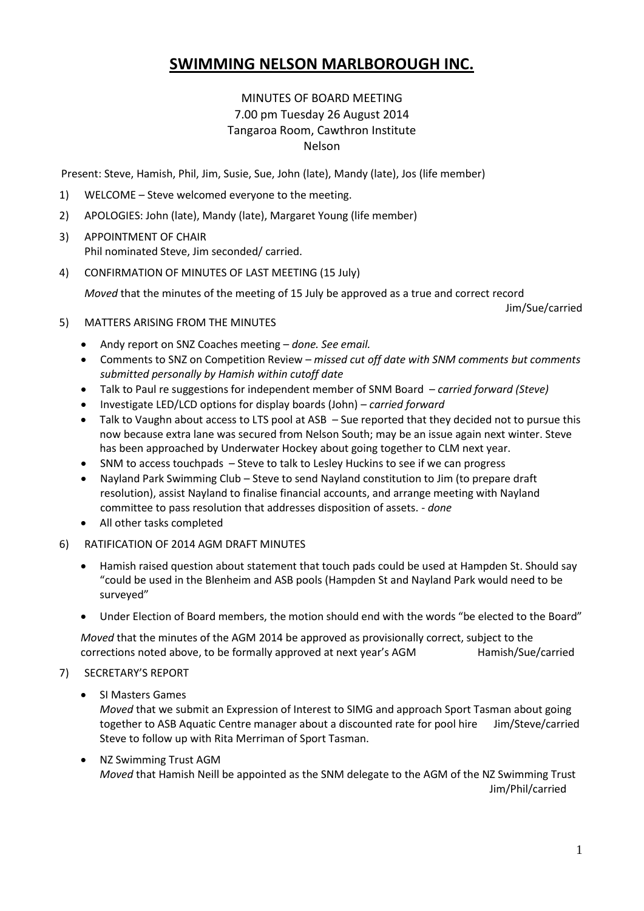# **SWIMMING NELSON MARLBOROUGH INC.**

# MINUTES OF BOARD MEETING 7.00 pm Tuesday 26 August 2014 Tangaroa Room, Cawthron Institute Nelson

Present: Steve, Hamish, Phil, Jim, Susie, Sue, John (late), Mandy (late), Jos (life member)

- 1) WELCOME Steve welcomed everyone to the meeting.
- 2) APOLOGIES: John (late), Mandy (late), Margaret Young (life member)
- 3) APPOINTMENT OF CHAIR Phil nominated Steve, Jim seconded/ carried.
- 4) CONFIRMATION OF MINUTES OF LAST MEETING (15 July)

*Moved* that the minutes of the meeting of 15 July be approved as a true and correct record

Jim/Sue/carried

- 5) MATTERS ARISING FROM THE MINUTES
	- Andy report on SNZ Coaches meeting *done. See email.*
	- Comments to SNZ on Competition Review *missed cut off date with SNM comments but comments submitted personally by Hamish within cutoff date*
	- Talk to Paul re suggestions for independent member of SNM Board *carried forward (Steve)*
	- Investigate LED/LCD options for display boards (John) *carried forward*
	- Talk to Vaughn about access to LTS pool at ASB Sue reported that they decided not to pursue this now because extra lane was secured from Nelson South; may be an issue again next winter. Steve has been approached by Underwater Hockey about going together to CLM next year.
	- SNM to access touchpads Steve to talk to Lesley Huckins to see if we can progress
	- Nayland Park Swimming Club Steve to send Nayland constitution to Jim (to prepare draft resolution), assist Nayland to finalise financial accounts, and arrange meeting with Nayland committee to pass resolution that addresses disposition of assets. - *done*
	- All other tasks completed
- 6) RATIFICATION OF 2014 AGM DRAFT MINUTES
	- Hamish raised question about statement that touch pads could be used at Hampden St. Should say "could be used in the Blenheim and ASB pools (Hampden St and Nayland Park would need to be surveyed"
	- Under Election of Board members, the motion should end with the words "be elected to the Board"

*Moved* that the minutes of the AGM 2014 be approved as provisionally correct, subject to the corrections noted above, to be formally approved at next year's AGM Hamish/Sue/carried

## 7) SECRETARY'S REPORT

SI Masters Games

*Moved* that we submit an Expression of Interest to SIMG and approach Sport Tasman about going together to ASB Aquatic Centre manager about a discounted rate for pool hire Jim/Steve/carried Steve to follow up with Rita Merriman of Sport Tasman.

• NZ Swimming Trust AGM *Moved* that Hamish Neill be appointed as the SNM delegate to the AGM of the NZ Swimming Trust Jim/Phil/carried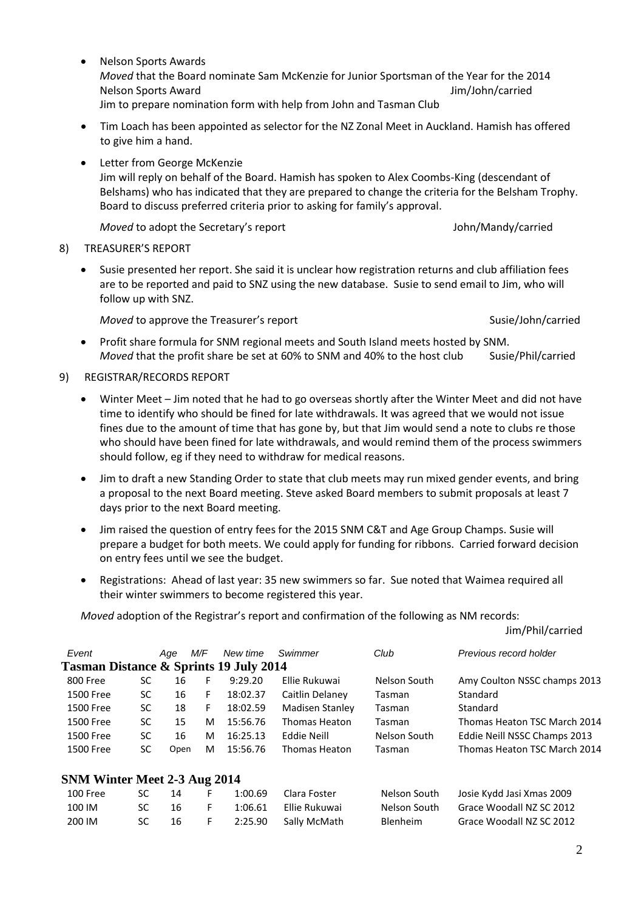- Nelson Sports Awards *Moved* that the Board nominate Sam McKenzie for Junior Sportsman of the Year for the 2014 Nelson Sports Award Jim/John/carried Jim to prepare nomination form with help from John and Tasman Club
- Tim Loach has been appointed as selector for the NZ Zonal Meet in Auckland. Hamish has offered to give him a hand.
- Letter from George McKenzie Jim will reply on behalf of the Board. Hamish has spoken to Alex Coombs-King (descendant of Belshams) who has indicated that they are prepared to change the criteria for the Belsham Trophy. Board to discuss preferred criteria prior to asking for family's approval.

*Moved* to adopt the Secretary's report John/Mandy/carried

#### 8) TREASURER'S REPORT

 Susie presented her report. She said it is unclear how registration returns and club affiliation fees are to be reported and paid to SNZ using the new database. Susie to send email to Jim, who will follow up with SNZ.

*Moved* to approve the Treasurer's report Susie/John/carried Susie/John/carried

Jim/Phil/carried

- Profit share formula for SNM regional meets and South Island meets hosted by SNM. *Moved* that the profit share be set at 60% to SNM and 40% to the host club Susie/Phil/carried
- 9) REGISTRAR/RECORDS REPORT
	- Winter Meet Jim noted that he had to go overseas shortly after the Winter Meet and did not have time to identify who should be fined for late withdrawals. It was agreed that we would not issue fines due to the amount of time that has gone by, but that Jim would send a note to clubs re those who should have been fined for late withdrawals, and would remind them of the process swimmers should follow, eg if they need to withdraw for medical reasons.
	- Jim to draft a new Standing Order to state that club meets may run mixed gender events, and bring a proposal to the next Board meeting. Steve asked Board members to submit proposals at least 7 days prior to the next Board meeting.
	- Jim raised the question of entry fees for the 2015 SNM C&T and Age Group Champs. Susie will prepare a budget for both meets. We could apply for funding for ribbons. Carried forward decision on entry fees until we see the budget.
	- Registrations: Ahead of last year: 35 new swimmers so far. Sue noted that Waimea required all their winter swimmers to become registered this year.

*Moved* adoption of the Registrar's report and confirmation of the following as NM records:

| Event                                             |           | Age  | M/F | New time | Swimmer         | Club         | Previous record holder       |
|---------------------------------------------------|-----------|------|-----|----------|-----------------|--------------|------------------------------|
| <b>Tasman Distance &amp; Sprints 19 July 2014</b> |           |      |     |          |                 |              |                              |
| 800 Free                                          | SC        | 16   | F   | 9:29.20  | Ellie Rukuwai   | Nelson South | Amy Coulton NSSC champs 2013 |
| 1500 Free                                         | <b>SC</b> | 16   | F   | 18:02.37 | Caitlin Delaney | Tasman       | Standard                     |
| 1500 Free                                         | <b>SC</b> | 18   | F   | 18:02.59 | Madisen Stanley | Tasman       | Standard                     |
| 1500 Free                                         | <b>SC</b> | 15   | M   | 15:56.76 | Thomas Heaton   | Tasman       | Thomas Heaton TSC March 2014 |
| 1500 Free                                         | <b>SC</b> | 16   | M   | 16:25.13 | Eddie Neill     | Nelson South | Eddie Neill NSSC Champs 2013 |
| 1500 Free                                         | <b>SC</b> | Open | M   | 15:56.76 | Thomas Heaton   | Tasman       | Thomas Heaton TSC March 2014 |
| SNM Winter Meet 2-3 Aug 2014                      |           |      |     |          |                 |              |                              |
| <b>100 Free</b>                                   | SC        | 14   | F   | 1:00.69  | Clara Foster    | Nelson South | Josie Kydd Jasi Xmas 2009    |
| 100 IM                                            | SC        | 16   | F   | 1:06.61  | Ellie Rukuwai   | Nelson South | Grace Woodall NZ SC 2012     |

200 IM SC 16 F 2:25.90 Sally McMath Blenheim Grace Woodall NZ SC 2012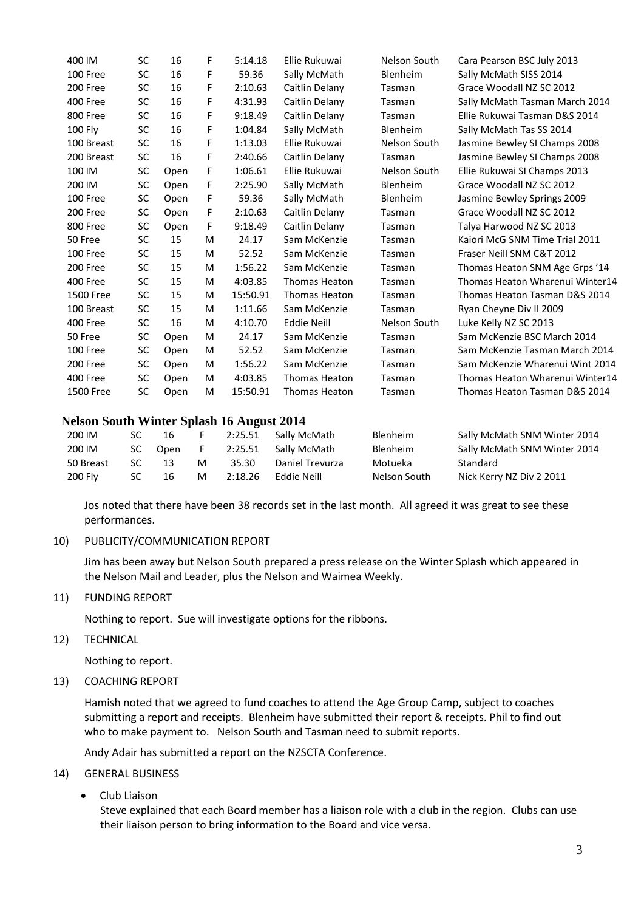| <b>SC</b> | 16   | F | 5:14.18  | Ellie Rukuwai        | Nelson South | Cara Pearson BSC July 2013      |
|-----------|------|---|----------|----------------------|--------------|---------------------------------|
| <b>SC</b> | 16   | F | 59.36    | Sally McMath         | Blenheim     | Sally McMath SISS 2014          |
| <b>SC</b> | 16   | F | 2:10.63  | Caitlin Delany       | Tasman       | Grace Woodall NZ SC 2012        |
| SC        | 16   | F | 4:31.93  | Caitlin Delany       | Tasman       | Sally McMath Tasman March 2014  |
| <b>SC</b> | 16   | F | 9:18.49  | Caitlin Delany       | Tasman       | Ellie Rukuwai Tasman D&S 2014   |
| SC        | 16   | F | 1:04.84  | Sally McMath         | Blenheim     | Sally McMath Tas SS 2014        |
| <b>SC</b> | 16   | F | 1:13.03  | Ellie Rukuwai        | Nelson South | Jasmine Bewley SI Champs 2008   |
| SC        | 16   | F | 2:40.66  | Caitlin Delany       | Tasman       | Jasmine Bewley SI Champs 2008   |
| <b>SC</b> | Open | F | 1:06.61  | Ellie Rukuwai        | Nelson South | Ellie Rukuwai SI Champs 2013    |
| SC        | Open | F | 2:25.90  | Sally McMath         | Blenheim     | Grace Woodall NZ SC 2012        |
| <b>SC</b> | Open | F | 59.36    | Sally McMath         | Blenheim     | Jasmine Bewley Springs 2009     |
| SC        | Open | F | 2:10.63  | Caitlin Delany       | Tasman       | Grace Woodall NZ SC 2012        |
| SC        | Open | F | 9:18.49  | Caitlin Delany       | Tasman       | Talya Harwood NZ SC 2013        |
| <b>SC</b> | 15   | M | 24.17    | Sam McKenzie         | Tasman       | Kaiori McG SNM Time Trial 2011  |
| <b>SC</b> | 15   | M | 52.52    | Sam McKenzie         | Tasman       | Fraser Neill SNM C&T 2012       |
| <b>SC</b> | 15   | M | 1:56.22  | Sam McKenzie         | Tasman       | Thomas Heaton SNM Age Grps '14  |
| <b>SC</b> | 15   | M | 4:03.85  | <b>Thomas Heaton</b> | Tasman       | Thomas Heaton Wharenui Winter14 |
| <b>SC</b> | 15   | M | 15:50.91 | <b>Thomas Heaton</b> | Tasman       | Thomas Heaton Tasman D&S 2014   |
| SC        | 15   | M | 1:11.66  | Sam McKenzie         | Tasman       | Ryan Cheyne Div II 2009         |
| <b>SC</b> | 16   | M | 4:10.70  | <b>Eddie Neill</b>   | Nelson South | Luke Kelly NZ SC 2013           |
| <b>SC</b> | Open | M | 24.17    | Sam McKenzie         | Tasman       | Sam McKenzie BSC March 2014     |
| <b>SC</b> | Open | M | 52.52    | Sam McKenzie         | Tasman       | Sam McKenzie Tasman March 2014  |
| <b>SC</b> | Open | M | 1:56.22  | Sam McKenzie         | Tasman       | Sam McKenzie Wharenui Wint 2014 |
| <b>SC</b> | Open | M | 4:03.85  | <b>Thomas Heaton</b> | Tasman       | Thomas Heaton Wharenui Winter14 |
| SC        | Open | M | 15:50.91 | <b>Thomas Heaton</b> | Tasman       | Thomas Heaton Tasman D&S 2014   |
|           |      |   |          |                      |              |                                 |

### **Nelson South Winter Splash 16 August 2014**

| 200 IM    | SC  | 16   |   | 2:25.51 | Sally McMath    | Blenheim     | Sally McMath SNM Winter 2014 |
|-----------|-----|------|---|---------|-----------------|--------------|------------------------------|
| 200 IM    | SC. | Open |   | 2:25.51 | Sally McMath    | Blenheim     | Sally McMath SNM Winter 2014 |
| 50 Breast | SC  | 13   | M | 35.30   | Daniel Trevurza | Motueka      | Standard                     |
| 200 Fly   | SC. | 16   | М | 2:18.26 | Eddie Neill     | Nelson South | Nick Kerry NZ Div 2 2011     |

Jos noted that there have been 38 records set in the last month. All agreed it was great to see these performances.

#### 10) PUBLICITY/COMMUNICATION REPORT

Jim has been away but Nelson South prepared a press release on the Winter Splash which appeared in the Nelson Mail and Leader, plus the Nelson and Waimea Weekly.

11) FUNDING REPORT

Nothing to report. Sue will investigate options for the ribbons.

12) TECHNICAL

Nothing to report.

13) COACHING REPORT

Hamish noted that we agreed to fund coaches to attend the Age Group Camp, subject to coaches submitting a report and receipts. Blenheim have submitted their report & receipts. Phil to find out who to make payment to. Nelson South and Tasman need to submit reports.

Andy Adair has submitted a report on the NZSCTA Conference.

#### 14) GENERAL BUSINESS

• Club Liaison

Steve explained that each Board member has a liaison role with a club in the region. Clubs can use their liaison person to bring information to the Board and vice versa.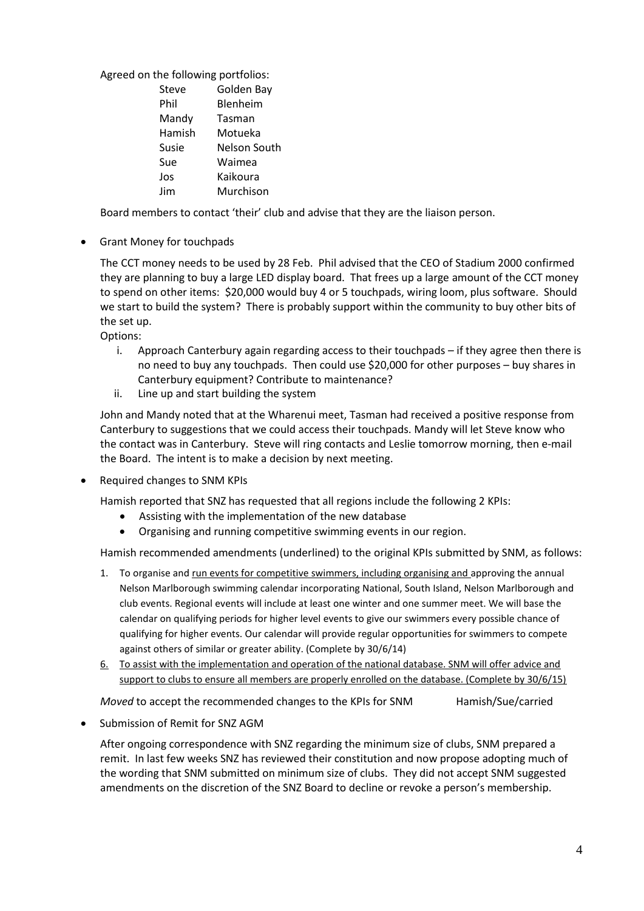# Agreed on the following portfolios:

| Steve  | Golden Bay   |
|--------|--------------|
| Phil   | Blenheim     |
| Mandy  | Tasman       |
| Hamish | Motueka      |
| Susie  | Nelson South |
| Sue    | Waimea       |
| Jos    | Kaikoura     |
| Jim    | Murchison    |

Board members to contact 'their' club and advise that they are the liaison person.

Grant Money for touchpads

The CCT money needs to be used by 28 Feb. Phil advised that the CEO of Stadium 2000 confirmed they are planning to buy a large LED display board. That frees up a large amount of the CCT money to spend on other items: \$20,000 would buy 4 or 5 touchpads, wiring loom, plus software. Should we start to build the system? There is probably support within the community to buy other bits of the set up.

Options:

- i. Approach Canterbury again regarding access to their touchpads if they agree then there is no need to buy any touchpads. Then could use \$20,000 for other purposes – buy shares in Canterbury equipment? Contribute to maintenance?
- ii. Line up and start building the system

John and Mandy noted that at the Wharenui meet, Tasman had received a positive response from Canterbury to suggestions that we could access their touchpads. Mandy will let Steve know who the contact was in Canterbury. Steve will ring contacts and Leslie tomorrow morning, then e-mail the Board. The intent is to make a decision by next meeting.

• Required changes to SNM KPIs

Hamish reported that SNZ has requested that all regions include the following 2 KPIs:

- Assisting with the implementation of the new database
- Organising and running competitive swimming events in our region.

Hamish recommended amendments (underlined) to the original KPIs submitted by SNM, as follows:

- 1. To organise and run events for competitive swimmers, including organising and approving the annual Nelson Marlborough swimming calendar incorporating National, South Island, Nelson Marlborough and club events. Regional events will include at least one winter and one summer meet. We will base the calendar on qualifying periods for higher level events to give our swimmers every possible chance of qualifying for higher events. Our calendar will provide regular opportunities for swimmers to compete against others of similar or greater ability. (Complete by 30/6/14)
- 6. To assist with the implementation and operation of the national database. SNM will offer advice and support to clubs to ensure all members are properly enrolled on the database. (Complete by 30/6/15)

*Moved* to accept the recommended changes to the KPIs for SNM Hamish/Sue/carried

Submission of Remit for SNZ AGM

After ongoing correspondence with SNZ regarding the minimum size of clubs, SNM prepared a remit. In last few weeks SNZ has reviewed their constitution and now propose adopting much of the wording that SNM submitted on minimum size of clubs. They did not accept SNM suggested amendments on the discretion of the SNZ Board to decline or revoke a person's membership.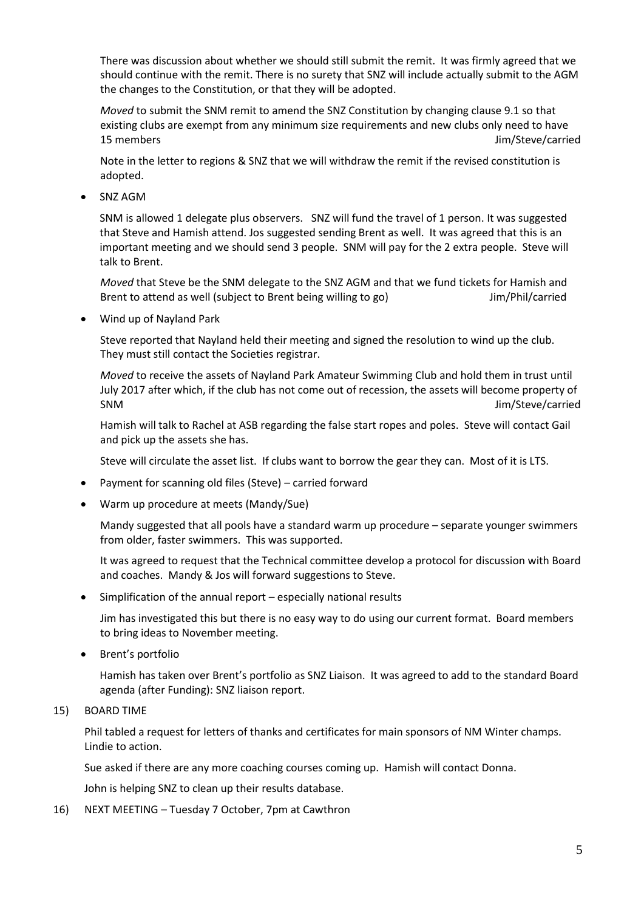There was discussion about whether we should still submit the remit. It was firmly agreed that we should continue with the remit. There is no surety that SNZ will include actually submit to the AGM the changes to the Constitution, or that they will be adopted.

*Moved* to submit the SNM remit to amend the SNZ Constitution by changing clause 9.1 so that existing clubs are exempt from any minimum size requirements and new clubs only need to have 15 members Jim/Steve/carried

Note in the letter to regions & SNZ that we will withdraw the remit if the revised constitution is adopted.

SNZ AGM

SNM is allowed 1 delegate plus observers. SNZ will fund the travel of 1 person. It was suggested that Steve and Hamish attend. Jos suggested sending Brent as well. It was agreed that this is an important meeting and we should send 3 people. SNM will pay for the 2 extra people. Steve will talk to Brent.

*Moved* that Steve be the SNM delegate to the SNZ AGM and that we fund tickets for Hamish and Brent to attend as well (subject to Brent being willing to go) Jim/Phil/carried

Wind up of Nayland Park

Steve reported that Nayland held their meeting and signed the resolution to wind up the club. They must still contact the Societies registrar.

*Moved* to receive the assets of Nayland Park Amateur Swimming Club and hold them in trust until July 2017 after which, if the club has not come out of recession, the assets will become property of SNM Jim/Steve/carried

Hamish will talk to Rachel at ASB regarding the false start ropes and poles. Steve will contact Gail and pick up the assets she has.

Steve will circulate the asset list. If clubs want to borrow the gear they can. Most of it is LTS.

- Payment for scanning old files (Steve) carried forward
- Warm up procedure at meets (Mandy/Sue)

Mandy suggested that all pools have a standard warm up procedure – separate younger swimmers from older, faster swimmers. This was supported.

It was agreed to request that the Technical committee develop a protocol for discussion with Board and coaches. Mandy & Jos will forward suggestions to Steve.

Simplification of the annual report – especially national results

Jim has investigated this but there is no easy way to do using our current format. Board members to bring ideas to November meeting.

• Brent's portfolio

Hamish has taken over Brent's portfolio as SNZ Liaison. It was agreed to add to the standard Board agenda (after Funding): SNZ liaison report.

#### 15) BOARD TIME

Phil tabled a request for letters of thanks and certificates for main sponsors of NM Winter champs. Lindie to action.

Sue asked if there are any more coaching courses coming up. Hamish will contact Donna.

John is helping SNZ to clean up their results database.

16) NEXT MEETING – Tuesday 7 October, 7pm at Cawthron